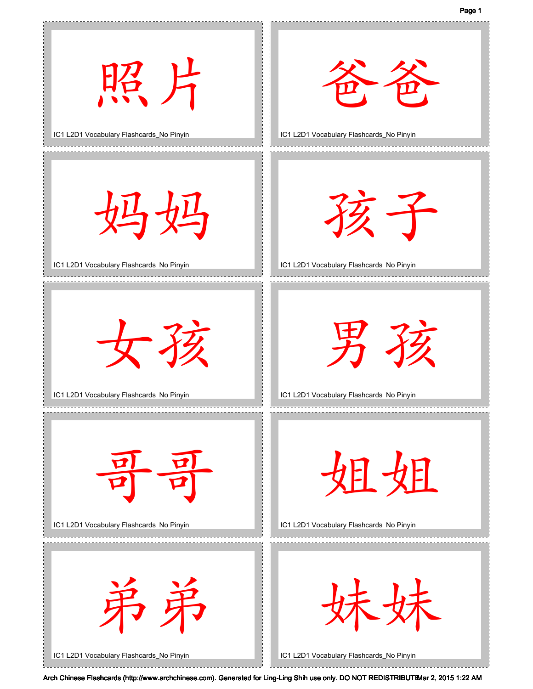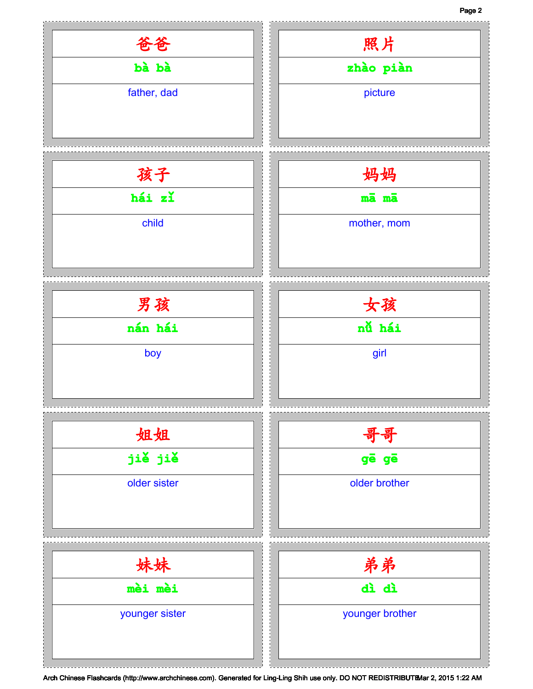## Page 2

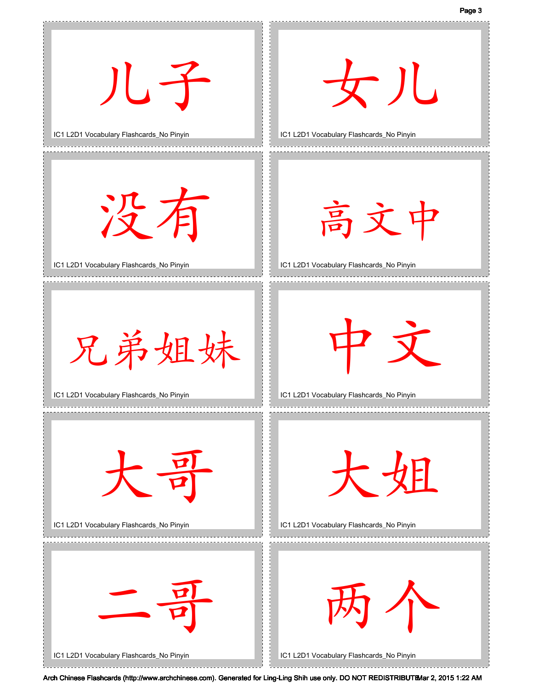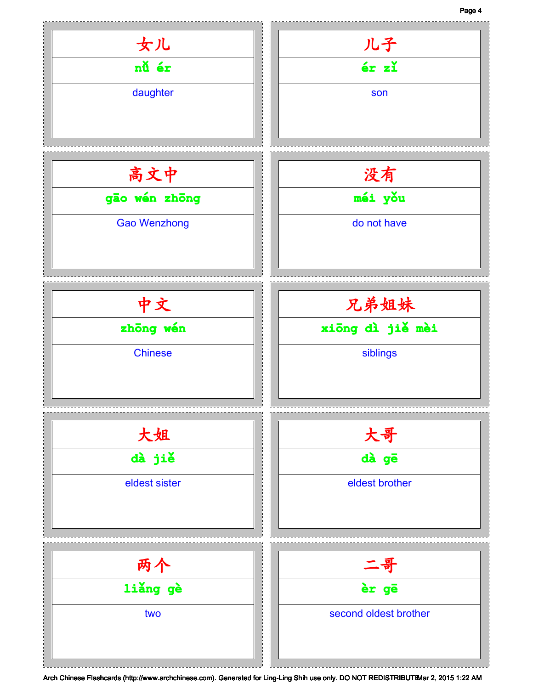## Page 4

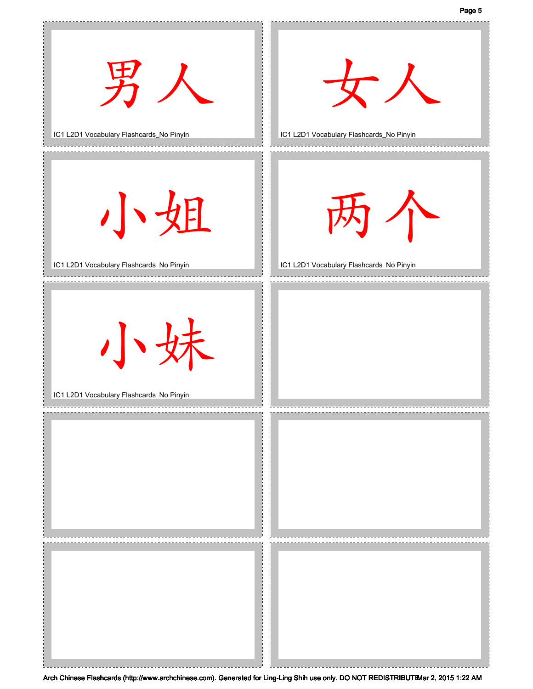